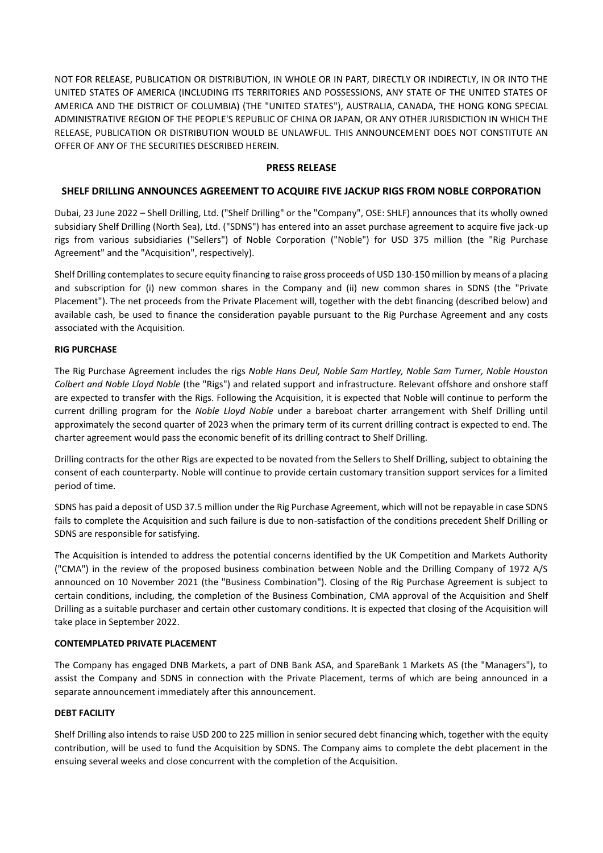NOT FOR RELEASE, PUBLICATION OR DISTRIBUTION, IN WHOLE OR IN PART, DIRECTLY OR INDIRECTLY, IN OR INTO THE UNITED STATES OF AMERICA (INCLUDING ITS TERRITORIES AND POSSESSIONS, ANY STATE OF THE UNITED STATES OF AMERICA AND THE DISTRICT OF COLUMBIA) (THE "UNITED STATES"), AUSTRALIA, CANADA, THE HONG KONG SPECIAL ADMINISTRATIVE REGION OF THE PEOPLE'S REPUBLIC OF CHINA OR JAPAN, OR ANY OTHER JURISDICTION IN WHICH THE RELEASE, PUBLICATION OR DISTRIBUTION WOULD BE UNLAWFUL. THIS ANNOUNCEMENT DOES NOT CONSTITUTE AN OFFER OF ANY OF THE SECURITIES DESCRIBED HEREIN.

## **PRESS RELEASE**

# **SHELF DRILLING ANNOUNCES AGREEMENT TO ACQUIRE FIVE JACKUP RIGS FROM NOBLE CORPORATION**

Dubai, 23 June 2022 – Shell Drilling, Ltd. ("Shelf Drilling" or the "Company", OSE: SHLF) announces that its wholly owned subsidiary Shelf Drilling (North Sea), Ltd. ("SDNS") has entered into an asset purchase agreement to acquire five jack-up rigs from various subsidiaries ("Sellers") of Noble Corporation ("Noble") for USD 375 million (the "Rig Purchase Agreement" and the "Acquisition", respectively).

Shelf Drilling contemplates to secure equity financing to raise gross proceeds of USD 130-150 million by means of a placing and subscription for (i) new common shares in the Company and (ii) new common shares in SDNS (the "Private Placement"). The net proceeds from the Private Placement will, together with the debt financing (described below) and available cash, be used to finance the consideration payable pursuant to the Rig Purchase Agreement and any costs associated with the Acquisition.

### **RIG PURCHASE**

The Rig Purchase Agreement includes the rigs *Noble Hans Deul, Noble Sam Hartley, Noble Sam Turner, Noble Houston Colbert and Noble Lloyd Noble* (the "Rigs") and related support and infrastructure. Relevant offshore and onshore staff are expected to transfer with the Rigs. Following the Acquisition, it is expected that Noble will continue to perform the current drilling program for the *Noble Lloyd Noble* under a bareboat charter arrangement with Shelf Drilling until approximately the second quarter of 2023 when the primary term of its current drilling contract is expected to end. The charter agreement would pass the economic benefit of its drilling contract to Shelf Drilling.

Drilling contracts for the other Rigs are expected to be novated from the Sellers to Shelf Drilling, subject to obtaining the consent of each counterparty. Noble will continue to provide certain customary transition support services for a limited period of time.

SDNS has paid a deposit of USD 37.5 million under the Rig Purchase Agreement, which will not be repayable in case SDNS fails to complete the Acquisition and such failure is due to non-satisfaction of the conditions precedent Shelf Drilling or SDNS are responsible for satisfying.

The Acquisition is intended to address the potential concerns identified by the UK Competition and Markets Authority ("CMA") in the review of the proposed business combination between Noble and the Drilling Company of 1972 A/S announced on 10 November 2021 (the "Business Combination"). Closing of the Rig Purchase Agreement is subject to certain conditions, including, the completion of the Business Combination, CMA approval of the Acquisition and Shelf Drilling as a suitable purchaser and certain other customary conditions. It is expected that closing of the Acquisition will take place in September 2022.

### **CONTEMPLATED PRIVATE PLACEMENT**

The Company has engaged DNB Markets, a part of DNB Bank ASA, and SpareBank 1 Markets AS (the "Managers"), to assist the Company and SDNS in connection with the Private Placement, terms of which are being announced in a separate announcement immediately after this announcement.

### **DEBT FACILITY**

Shelf Drilling also intends to raise USD 200 to 225 million in senior secured debt financing which, together with the equity contribution, will be used to fund the Acquisition by SDNS. The Company aims to complete the debt placement in the ensuing several weeks and close concurrent with the completion of the Acquisition.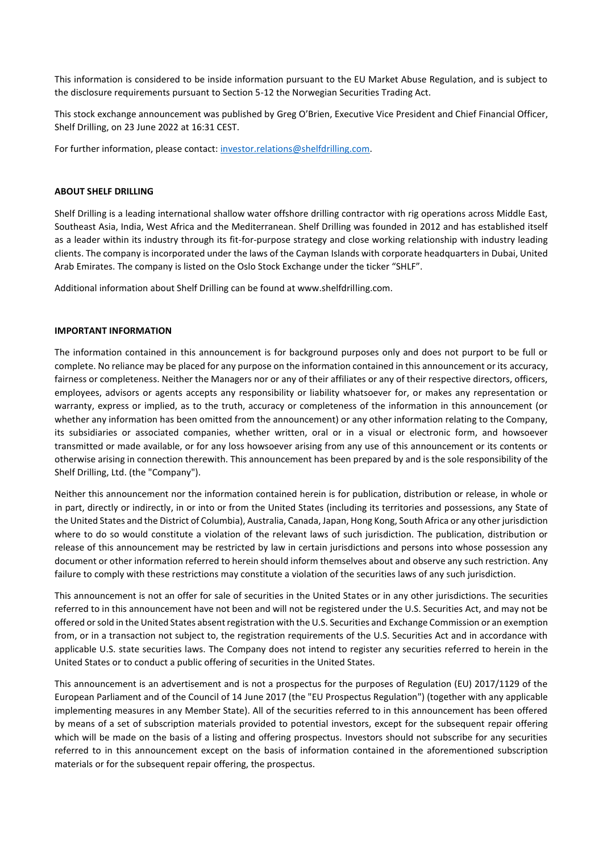This information is considered to be inside information pursuant to the EU Market Abuse Regulation, and is subject to the disclosure requirements pursuant to Section 5-12 the Norwegian Securities Trading Act.

This stock exchange announcement was published by Greg O'Brien, Executive Vice President and Chief Financial Officer, Shelf Drilling, on 23 June 2022 at 16:31 CEST.

For further information, please contact[: investor.relations@shelfdrilling.com.](mailto:investor.relations@shelfdrilling.com)

#### **ABOUT SHELF DRILLING**

Shelf Drilling is a leading international shallow water offshore drilling contractor with rig operations across Middle East, Southeast Asia, India, West Africa and the Mediterranean. Shelf Drilling was founded in 2012 and has established itself as a leader within its industry through its fit-for-purpose strategy and close working relationship with industry leading clients. The company is incorporated under the laws of the Cayman Islands with corporate headquarters in Dubai, United Arab Emirates. The company is listed on the Oslo Stock Exchange under the ticker "SHLF".

Additional information about Shelf Drilling can be found at www.shelfdrilling.com.

#### **IMPORTANT INFORMATION**

The information contained in this announcement is for background purposes only and does not purport to be full or complete. No reliance may be placed for any purpose on the information contained in this announcement or its accuracy, fairness or completeness. Neither the Managers nor or any of their affiliates or any of their respective directors, officers, employees, advisors or agents accepts any responsibility or liability whatsoever for, or makes any representation or warranty, express or implied, as to the truth, accuracy or completeness of the information in this announcement (or whether any information has been omitted from the announcement) or any other information relating to the Company, its subsidiaries or associated companies, whether written, oral or in a visual or electronic form, and howsoever transmitted or made available, or for any loss howsoever arising from any use of this announcement or its contents or otherwise arising in connection therewith. This announcement has been prepared by and is the sole responsibility of the Shelf Drilling, Ltd. (the "Company").

Neither this announcement nor the information contained herein is for publication, distribution or release, in whole or in part, directly or indirectly, in or into or from the United States (including its territories and possessions, any State of the United States and the District of Columbia), Australia, Canada, Japan, Hong Kong, South Africa or any other jurisdiction where to do so would constitute a violation of the relevant laws of such jurisdiction. The publication, distribution or release of this announcement may be restricted by law in certain jurisdictions and persons into whose possession any document or other information referred to herein should inform themselves about and observe any such restriction. Any failure to comply with these restrictions may constitute a violation of the securities laws of any such jurisdiction.

This announcement is not an offer for sale of securities in the United States or in any other jurisdictions. The securities referred to in this announcement have not been and will not be registered under the U.S. Securities Act, and may not be offered or sold in the United States absent registration with the U.S. Securities and Exchange Commission or an exemption from, or in a transaction not subject to, the registration requirements of the U.S. Securities Act and in accordance with applicable U.S. state securities laws. The Company does not intend to register any securities referred to herein in the United States or to conduct a public offering of securities in the United States.

This announcement is an advertisement and is not a prospectus for the purposes of Regulation (EU) 2017/1129 of the European Parliament and of the Council of 14 June 2017 (the "EU Prospectus Regulation") (together with any applicable implementing measures in any Member State). All of the securities referred to in this announcement has been offered by means of a set of subscription materials provided to potential investors, except for the subsequent repair offering which will be made on the basis of a listing and offering prospectus. Investors should not subscribe for any securities referred to in this announcement except on the basis of information contained in the aforementioned subscription materials or for the subsequent repair offering, the prospectus.